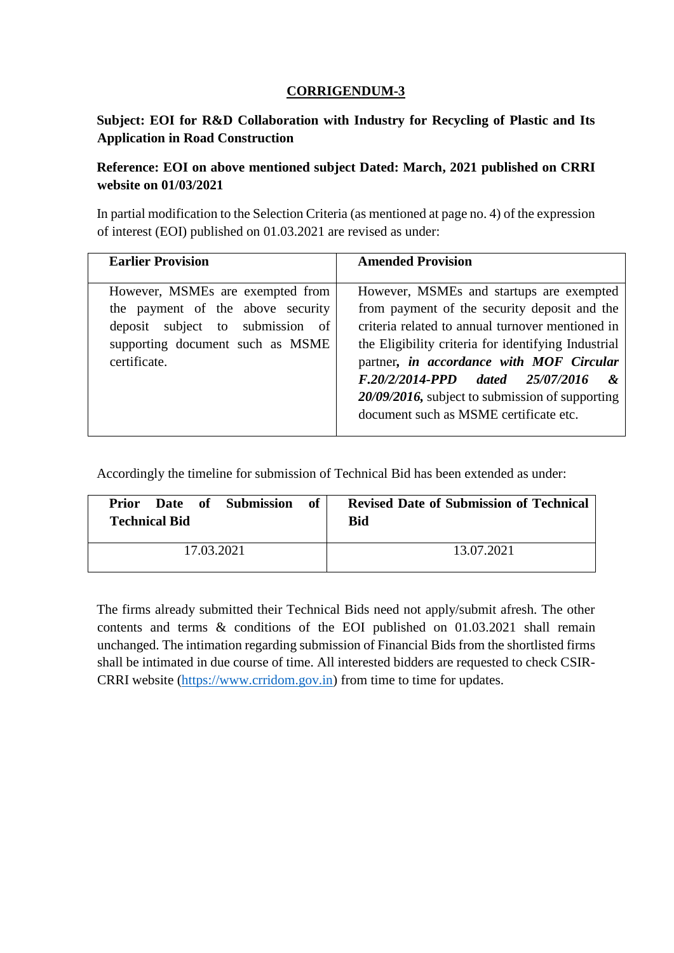# **CORRIGENDUM-3**

# **Subject: EOI for R&D Collaboration with Industry for Recycling of Plastic and Its Application in Road Construction**

# **Reference: EOI on above mentioned subject Dated: March, 2021 published on CRRI website on 01/03/2021**

In partial modification to the Selection Criteria (as mentioned at page no. 4) of the expression of interest (EOI) published on 01.03.2021 are revised as under:

| <b>Earlier Provision</b>                                                                                                                                      | <b>Amended Provision</b>                                                                                                                                                                                                                                                                                                                                                                          |
|---------------------------------------------------------------------------------------------------------------------------------------------------------------|---------------------------------------------------------------------------------------------------------------------------------------------------------------------------------------------------------------------------------------------------------------------------------------------------------------------------------------------------------------------------------------------------|
| However, MSMEs are exempted from<br>the payment of the above security<br>deposit subject to submission of<br>supporting document such as MSME<br>certificate. | However, MSMEs and startups are exempted<br>from payment of the security deposit and the<br>criteria related to annual turnover mentioned in<br>the Eligibility criteria for identifying Industrial<br>partner, in accordance with MOF Circular<br>F.20/2/2014-PPD dated 25/07/2016<br>$\mathcal{X}$<br>20/09/2016, subject to submission of supporting<br>document such as MSME certificate etc. |

Accordingly the timeline for submission of Technical Bid has been extended as under:

| <b>Prior</b> Date of Submission<br>of 1<br><b>Technical Bid</b> | <b>Revised Date of Submission of Technical</b><br>Bid |
|-----------------------------------------------------------------|-------------------------------------------------------|
| 17.03.2021                                                      | 13.07.2021                                            |

The firms already submitted their Technical Bids need not apply/submit afresh. The other contents and terms & conditions of the EOI published on 01.03.2021 shall remain unchanged. The intimation regarding submission of Financial Bids from the shortlisted firms shall be intimated in due course of time. All interested bidders are requested to check CSIR-CRRI website [\(https://www.crridom.gov.in\)](https://www.crridom.gov.in/) from time to time for updates.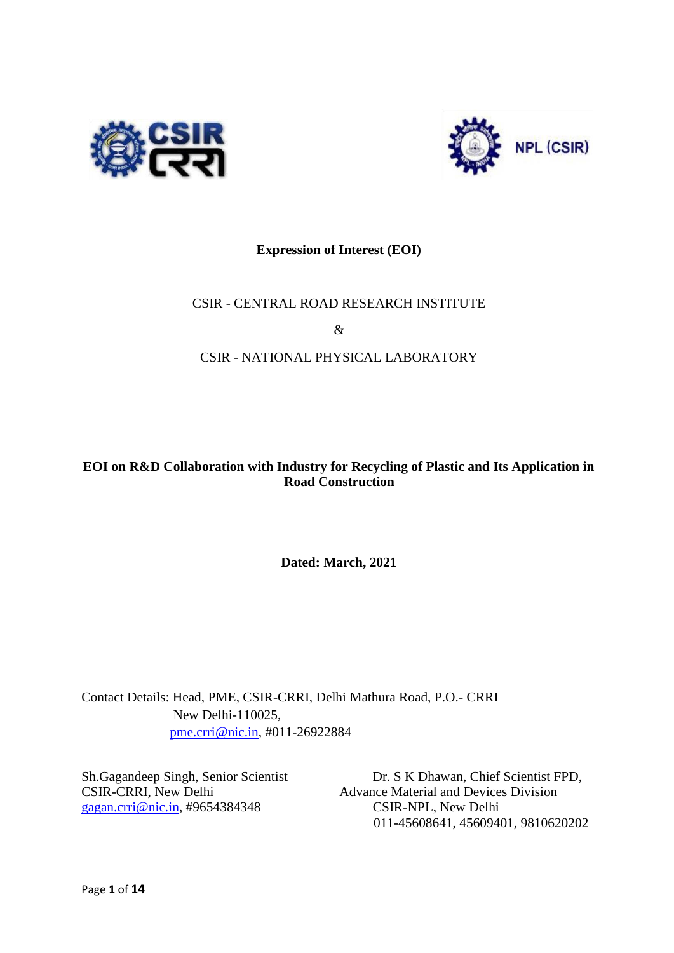



# **Expression of Interest (EOI)**

# CSIR - CENTRAL ROAD RESEARCH INSTITUTE

&

# CSIR - NATIONAL PHYSICAL LABORATORY

# **EOI on R&D Collaboration with Industry for Recycling of Plastic and Its Application in Road Construction**

**Dated: March, 2021** 

Contact Details: Head, PME, CSIR-CRRI, Delhi Mathura Road, P.O.- CRRI New Delhi-110025, pme.crri@nic.in, #011-26922884

gagan.crri@nic.in, #9654384348 CSIR-NPL, New Delhi

Sh.Gagandeep Singh, Senior Scientist Dr. S K Dhawan, Chief Scientist FPD, CSIR-CRRI, New Delhi Advance Material and Devices Division 011-45608641, 45609401, 9810620202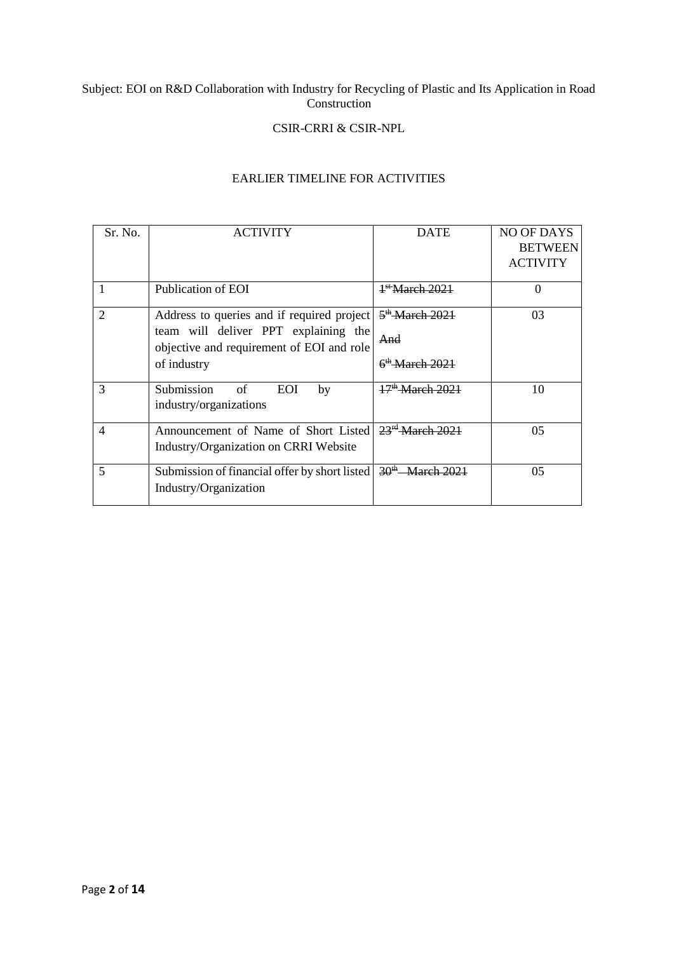#### Subject: EOI on R&D Collaboration with Industry for Recycling of Plastic and Its Application in Road Construction

#### CSIR-CRRI & CSIR-NPL

#### EARLIER TIMELINE FOR ACTIVITIES

| Sr. No.        | <b>ACTIVITY</b>                                                                   | <b>DATE</b>                 | NO OF DAYS      |
|----------------|-----------------------------------------------------------------------------------|-----------------------------|-----------------|
|                |                                                                                   |                             | <b>BETWEEN</b>  |
|                |                                                                                   |                             | <b>ACTIVITY</b> |
|                |                                                                                   |                             |                 |
|                | Publication of EOI                                                                | <sup>1st</sup> March 2021   | $\Omega$        |
| $\overline{c}$ | Address to queries and if required project                                        | 5 <sup>th</sup> March 2021  | 03              |
|                | team will deliver PPT explaining the<br>objective and requirement of EOI and role | And                         |                 |
|                | of industry                                                                       | $6th$ March 2021            |                 |
| 3              | Submission<br><b>EOI</b><br>of<br>by<br>industry/organizations                    | 17 <sup>th</sup> March 2021 | 10              |
| $\overline{4}$ | Announcement of Name of Short Listed                                              | 23 <sup>rd</sup> March 2021 | 0 <sub>5</sub>  |
|                | Industry/Organization on CRRI Website                                             |                             |                 |
| 5              | Submission of financial offer by short listed                                     | $30^{th}$ March 2021        | 0 <sub>5</sub>  |
|                | Industry/Organization                                                             |                             |                 |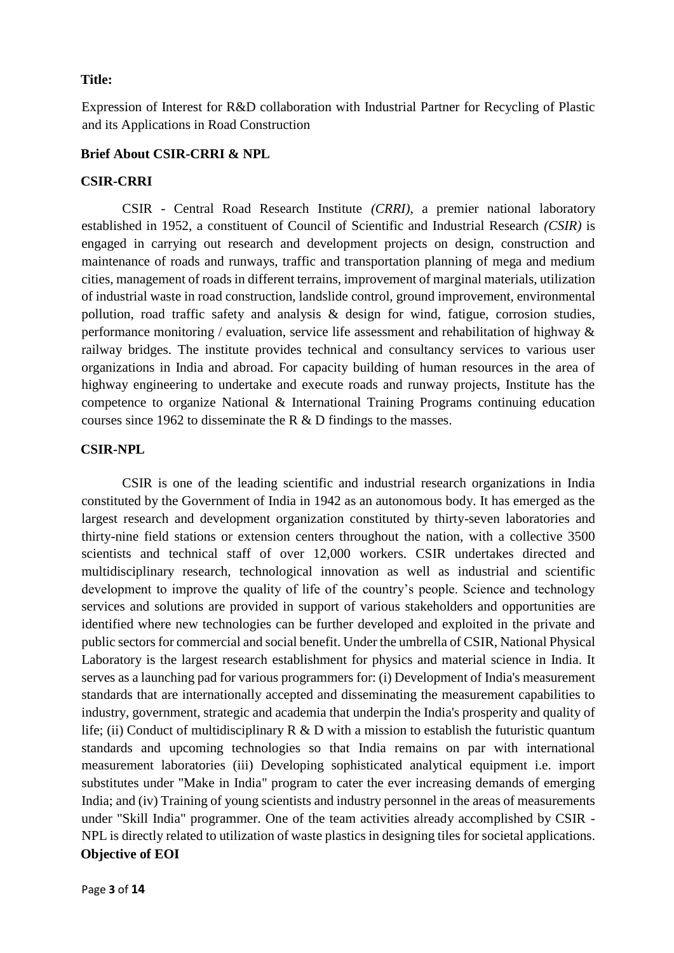#### **Title:**

Expression of Interest for R&D collaboration with Industrial Partner for Recycling of Plastic and its Applications in Road Construction

#### **Brief About CSIR-CRRI & NPL**

#### **CSIR-CRRI**

CSIR - Central Road Research Institute *(CRRI)*, a premier national laboratory established in 1952, a constituent of Council of Scientific and Industrial Research *(CSIR)* is engaged in carrying out research and development projects on design, construction and maintenance of roads and runways, traffic and transportation planning of mega and medium cities, management of roads in different terrains, improvement of marginal materials, utilization of industrial waste in road construction, landslide control, ground improvement, environmental pollution, road traffic safety and analysis & design for wind, fatigue, corrosion studies, performance monitoring / evaluation, service life assessment and rehabilitation of highway & railway bridges. The institute provides technical and consultancy services to various user organizations in India and abroad. For capacity building of human resources in the area of highway engineering to undertake and execute roads and runway projects, Institute has the competence to organize National & International Training Programs continuing education courses since 1962 to disseminate the R & D findings to the masses.

#### **CSIR-NPL**

CSIR is one of the leading scientific and industrial research organizations in India constituted by the Government of India in 1942 as an autonomous body. It has emerged as the largest research and development organization constituted by thirty-seven laboratories and thirty-nine field stations or extension centers throughout the nation, with a collective 3500 scientists and technical staff of over 12,000 workers. CSIR undertakes directed and multidisciplinary research, technological innovation as well as industrial and scientific development to improve the quality of life of the country's people. Science and technology services and solutions are provided in support of various stakeholders and opportunities are identified where new technologies can be further developed and exploited in the private and public sectors for commercial and social benefit. Under the umbrella of CSIR, National Physical Laboratory is the largest research establishment for physics and material science in India. It serves as a launching pad for various programmers for: (i) Development of India's measurement standards that are internationally accepted and disseminating the measurement capabilities to industry, government, strategic and academia that underpin the India's prosperity and quality of life; (ii) Conduct of multidisciplinary  $R \& D$  with a mission to establish the futuristic quantum standards and upcoming technologies so that India remains on par with international measurement laboratories (iii) Developing sophisticated analytical equipment i.e. import substitutes under "Make in India" program to cater the ever increasing demands of emerging India; and (iv) Training of young scientists and industry personnel in the areas of measurements under "Skill India" programmer. One of the team activities already accomplished by CSIR - NPL is directly related to utilization of waste plastics in designing tiles for societal applications. **Objective of EOI**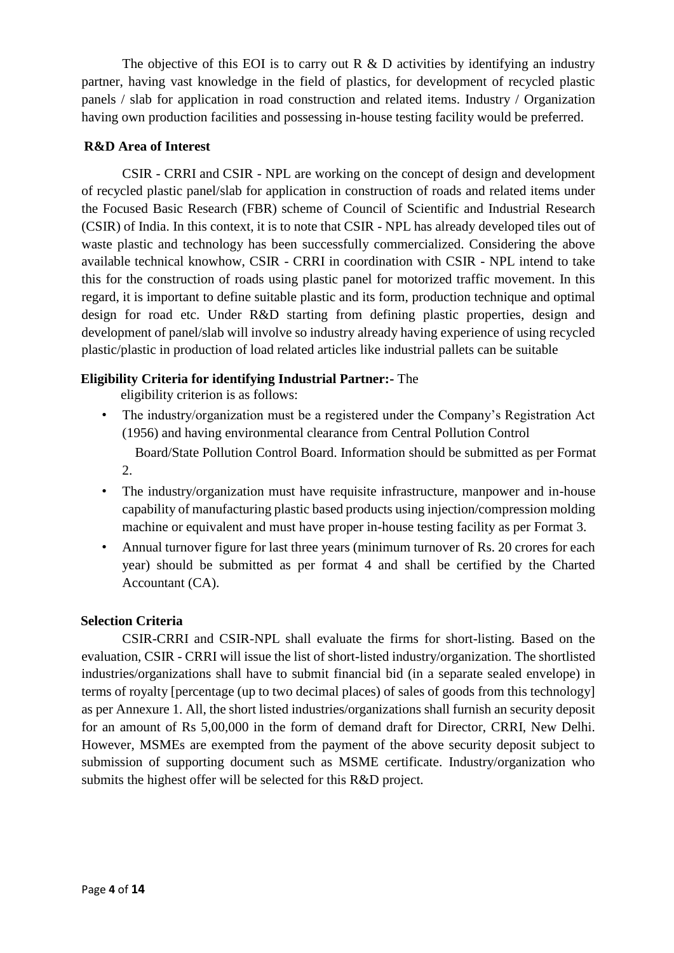The objective of this EOI is to carry out R  $\&$  D activities by identifying an industry partner, having vast knowledge in the field of plastics, for development of recycled plastic panels / slab for application in road construction and related items. Industry / Organization having own production facilities and possessing in-house testing facility would be preferred.

# **R&D Area of Interest**

CSIR - CRRI and CSIR - NPL are working on the concept of design and development of recycled plastic panel/slab for application in construction of roads and related items under the Focused Basic Research (FBR) scheme of Council of Scientific and Industrial Research (CSIR) of India. In this context, it is to note that CSIR - NPL has already developed tiles out of waste plastic and technology has been successfully commercialized. Considering the above available technical knowhow, CSIR - CRRI in coordination with CSIR - NPL intend to take this for the construction of roads using plastic panel for motorized traffic movement. In this regard, it is important to define suitable plastic and its form, production technique and optimal design for road etc. Under R&D starting from defining plastic properties, design and development of panel/slab will involve so industry already having experience of using recycled plastic/plastic in production of load related articles like industrial pallets can be suitable

# **Eligibility Criteria for identifying Industrial Partner:-** The

eligibility criterion is as follows:

• The industry/organization must be a registered under the Company's Registration Act (1956) and having environmental clearance from Central Pollution Control

Board/State Pollution Control Board. Information should be submitted as per Format 2.

- The industry/organization must have requisite infrastructure, manpower and in-house capability of manufacturing plastic based products using injection/compression molding machine or equivalent and must have proper in-house testing facility as per Format 3.
- Annual turnover figure for last three years (minimum turnover of Rs. 20 crores for each year) should be submitted as per format 4 and shall be certified by the Charted Accountant (CA).

# **Selection Criteria**

CSIR-CRRI and CSIR-NPL shall evaluate the firms for short-listing. Based on the evaluation, CSIR - CRRI will issue the list of short-listed industry/organization. The shortlisted industries/organizations shall have to submit financial bid (in a separate sealed envelope) in terms of royalty [percentage (up to two decimal places) of sales of goods from this technology] as per Annexure 1. All, the short listed industries/organizations shall furnish an security deposit for an amount of Rs 5,00,000 in the form of demand draft for Director, CRRI, New Delhi. However, MSMEs are exempted from the payment of the above security deposit subject to submission of supporting document such as MSME certificate. Industry/organization who submits the highest offer will be selected for this R&D project.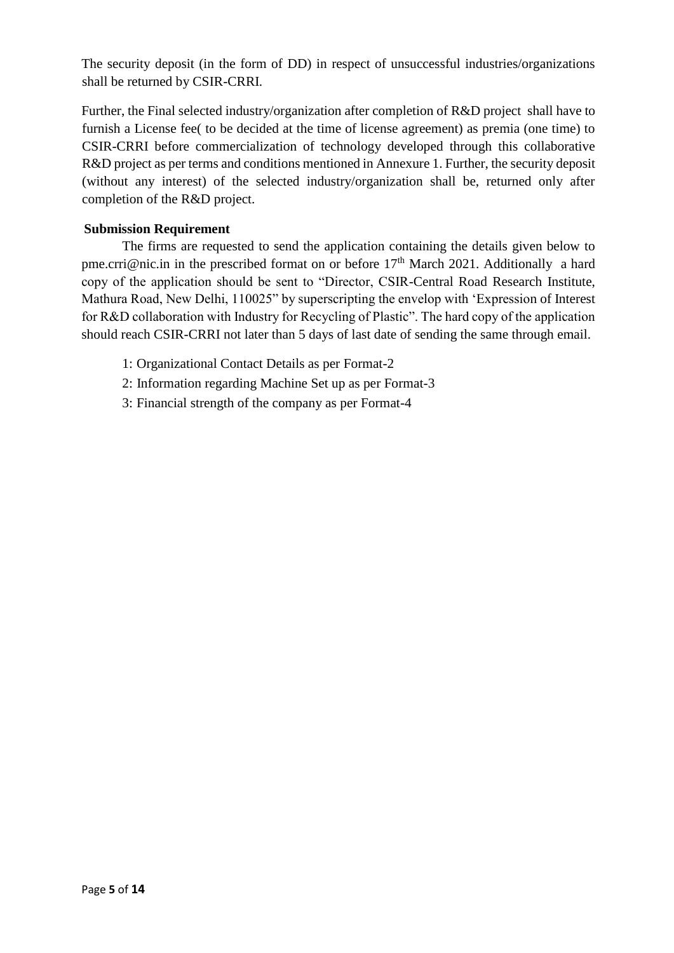The security deposit (in the form of DD) in respect of unsuccessful industries/organizations shall be returned by CSIR-CRRI.

Further, the Final selected industry/organization after completion of R&D project shall have to furnish a License fee( to be decided at the time of license agreement) as premia (one time) to CSIR-CRRI before commercialization of technology developed through this collaborative R&D project as per terms and conditions mentioned in Annexure 1. Further, the security deposit (without any interest) of the selected industry/organization shall be, returned only after completion of the R&D project.

# **Submission Requirement**

The firms are requested to send the application containing the details given below to pme.crri@nic.in in the prescribed format on or before  $17<sup>th</sup>$  March 2021. Additionally a hard copy of the application should be sent to "Director, CSIR-Central Road Research Institute, Mathura Road, New Delhi, 110025" by superscripting the envelop with 'Expression of Interest for R&D collaboration with Industry for Recycling of Plastic". The hard copy of the application should reach CSIR-CRRI not later than 5 days of last date of sending the same through email.

- 1: Organizational Contact Details as per Format-2
- 2: Information regarding Machine Set up as per Format-3
- 3: Financial strength of the company as per Format-4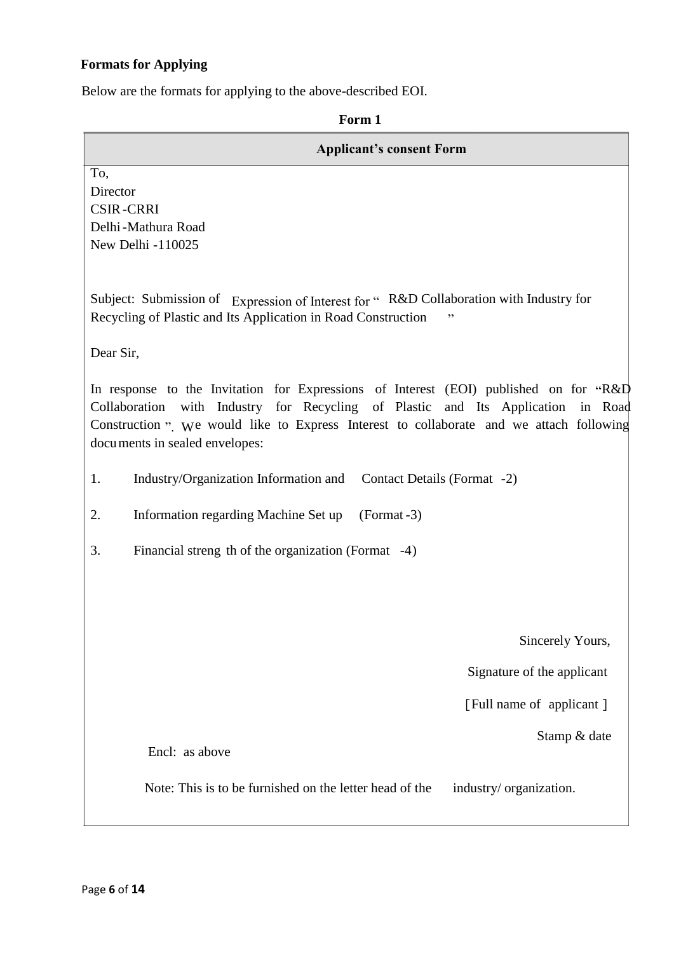# **Formats for Applying**

Below are the formats for applying to the above-described EOI.

**Form 1**

| <b>Applicant's consent Form</b>                                                                                                                                                                                                                                                                         |  |
|---------------------------------------------------------------------------------------------------------------------------------------------------------------------------------------------------------------------------------------------------------------------------------------------------------|--|
| To,<br>Director<br><b>CSIR-CRRI</b>                                                                                                                                                                                                                                                                     |  |
| Delhi-Mathura Road                                                                                                                                                                                                                                                                                      |  |
| New Delhi -110025                                                                                                                                                                                                                                                                                       |  |
| Subject: Submission of Expression of Interest for " R&D Collaboration with Industry for<br>Recycling of Plastic and Its Application in Road Construction                                                                                                                                                |  |
| Dear Sir,                                                                                                                                                                                                                                                                                               |  |
| In response to the Invitation for Expressions of Interest (EOI) published on for "R&D<br>Collaboration with Industry for Recycling of Plastic and Its Application in Road<br>Construction ". We would like to Express Interest to collaborate and we attach following<br>documents in sealed envelopes: |  |
| Industry/Organization Information and Contact Details (Format -2)<br>1.                                                                                                                                                                                                                                 |  |
| 2.<br>Information regarding Machine Set up<br>$(Format - 3)$                                                                                                                                                                                                                                            |  |
| 3.<br>Financial streng th of the organization (Format -4)                                                                                                                                                                                                                                               |  |
|                                                                                                                                                                                                                                                                                                         |  |
|                                                                                                                                                                                                                                                                                                         |  |
| Sincerely Yours,                                                                                                                                                                                                                                                                                        |  |
| Signature of the applicant                                                                                                                                                                                                                                                                              |  |
| [Full name of applicant]                                                                                                                                                                                                                                                                                |  |
| Stamp & date                                                                                                                                                                                                                                                                                            |  |
| Encl: as above                                                                                                                                                                                                                                                                                          |  |
| Note: This is to be furnished on the letter head of the<br>industry/ organization.                                                                                                                                                                                                                      |  |
|                                                                                                                                                                                                                                                                                                         |  |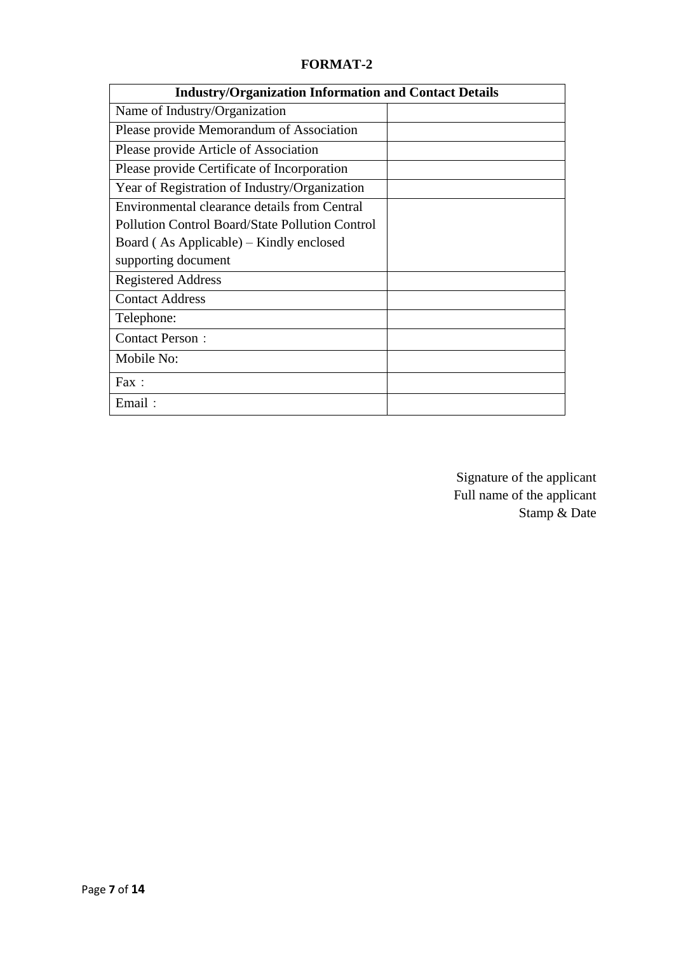# **FORMAT-2**

| <b>Industry/Organization Information and Contact Details</b> |  |
|--------------------------------------------------------------|--|
| Name of Industry/Organization                                |  |
| Please provide Memorandum of Association                     |  |
| Please provide Article of Association                        |  |
| Please provide Certificate of Incorporation                  |  |
| Year of Registration of Industry/Organization                |  |
| Environmental clearance details from Central                 |  |
| Pollution Control Board/State Pollution Control              |  |
| Board (As Applicable) – Kindly enclosed                      |  |
| supporting document                                          |  |
| <b>Registered Address</b>                                    |  |
| <b>Contact Address</b>                                       |  |
| Telephone:                                                   |  |
| <b>Contact Person:</b>                                       |  |
| Mobile No:                                                   |  |
| Fax:                                                         |  |
| Email:                                                       |  |

Signature of the applicant Full name of the applicant Stamp & Date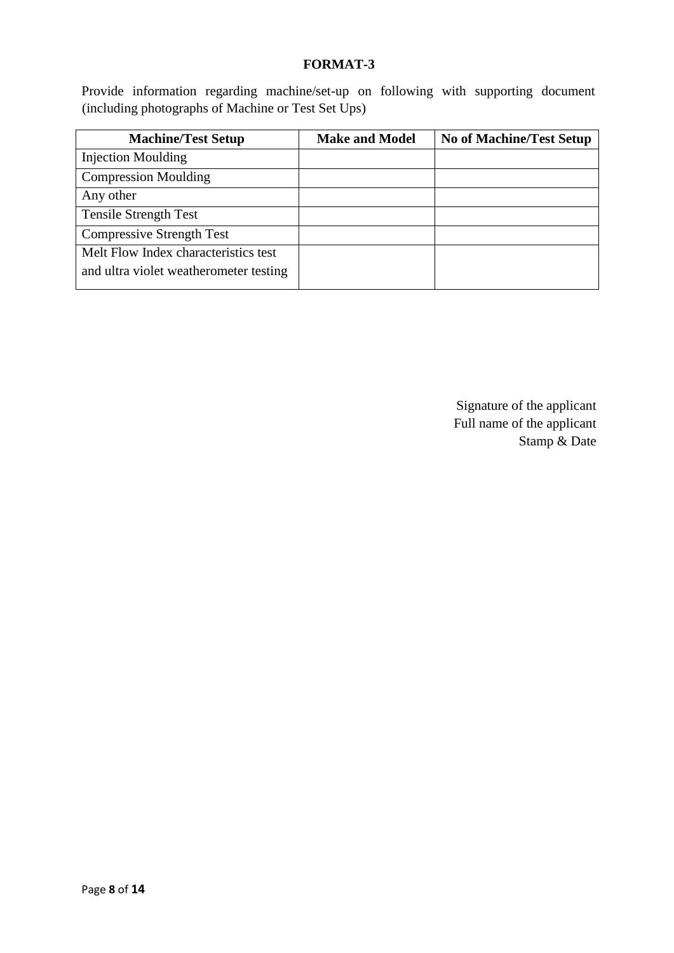### **FORMAT-3**

Provide information regarding machine/set-up on following with supporting document (including photographs of Machine or Test Set Ups)

| <b>Machine/Test Setup</b>              | <b>Make and Model</b> | <b>No of Machine/Test Setup</b> |
|----------------------------------------|-----------------------|---------------------------------|
| <b>Injection Moulding</b>              |                       |                                 |
| <b>Compression Moulding</b>            |                       |                                 |
| Any other                              |                       |                                 |
| <b>Tensile Strength Test</b>           |                       |                                 |
| <b>Compressive Strength Test</b>       |                       |                                 |
| Melt Flow Index characteristics test   |                       |                                 |
| and ultra violet weatherometer testing |                       |                                 |
|                                        |                       |                                 |

Signature of the applicant Full name of the applicant Stamp & Date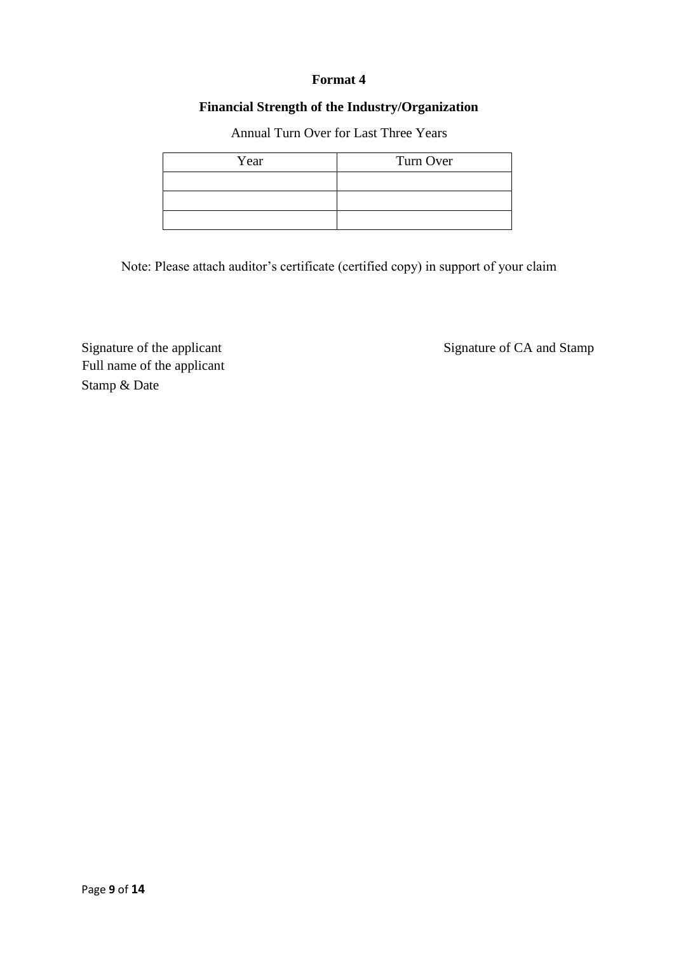### **Format 4**

# **Financial Strength of the Industry/Organization**

Annual Turn Over for Last Three Years

| Year | Turn Over |
|------|-----------|
|      |           |
|      |           |
|      |           |

Note: Please attach auditor's certificate (certified copy) in support of your claim

Signature of the applicant Signature of CA and Stamp Full name of the applicant Stamp & Date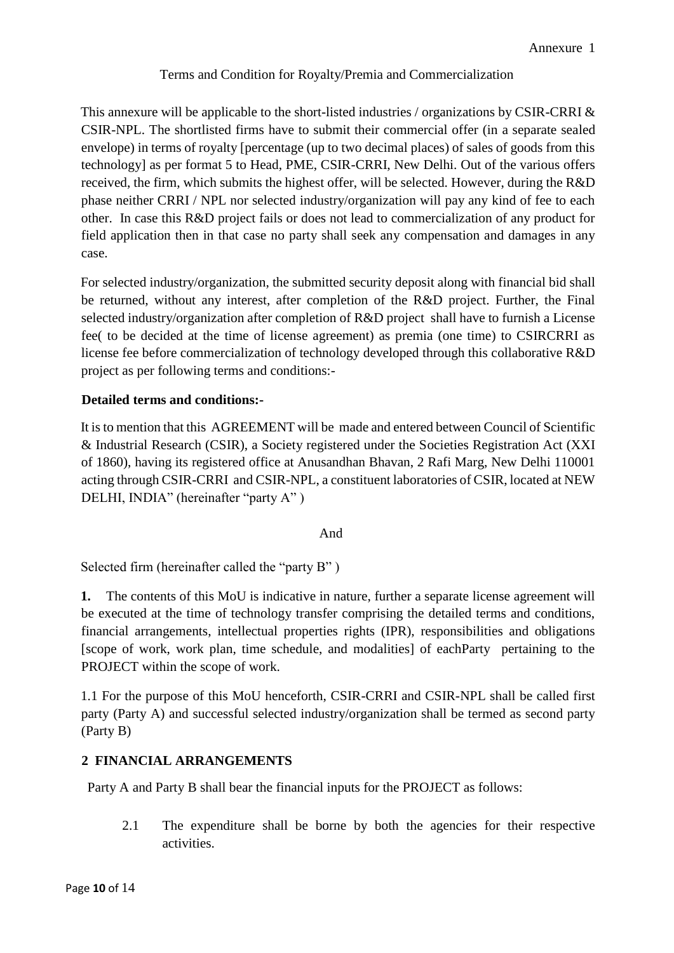# Terms and Condition for Royalty/Premia and Commercialization

This annexure will be applicable to the short-listed industries / organizations by CSIR-CRRI & CSIR-NPL. The shortlisted firms have to submit their commercial offer (in a separate sealed envelope) in terms of royalty [percentage (up to two decimal places) of sales of goods from this technology] as per format 5 to Head, PME, CSIR-CRRI, New Delhi. Out of the various offers received, the firm, which submits the highest offer, will be selected. However, during the R&D phase neither CRRI / NPL nor selected industry/organization will pay any kind of fee to each other. In case this R&D project fails or does not lead to commercialization of any product for field application then in that case no party shall seek any compensation and damages in any case.

For selected industry/organization, the submitted security deposit along with financial bid shall be returned, without any interest, after completion of the R&D project. Further, the Final selected industry/organization after completion of R&D project shall have to furnish a License fee( to be decided at the time of license agreement) as premia (one time) to CSIRCRRI as license fee before commercialization of technology developed through this collaborative R&D project as per following terms and conditions:-

# **Detailed terms and conditions:-**

It is to mention that this AGREEMENT will be made and entered between Council of Scientific & Industrial Research (CSIR), a Society registered under the Societies Registration Act (XXI of 1860), having its registered office at Anusandhan Bhavan, 2 Rafi Marg, New Delhi 110001 acting through CSIR-CRRI and CSIR-NPL, a constituent laboratories of CSIR, located at NEW DELHI, INDIA" (hereinafter "party A" )

# And

Selected firm (hereinafter called the "party B" )

**1.** The contents of this MoU is indicative in nature, further a separate license agreement will be executed at the time of technology transfer comprising the detailed terms and conditions, financial arrangements, intellectual properties rights (IPR), responsibilities and obligations [scope of work, work plan, time schedule, and modalities] of eachParty pertaining to the PROJECT within the scope of work.

1.1 For the purpose of this MoU henceforth, CSIR-CRRI and CSIR-NPL shall be called first party (Party A) and successful selected industry/organization shall be termed as second party (Party B)

# **2 FINANCIAL ARRANGEMENTS**

Party A and Party B shall bear the financial inputs for the PROJECT as follows:

2.1 The expenditure shall be borne by both the agencies for their respective activities.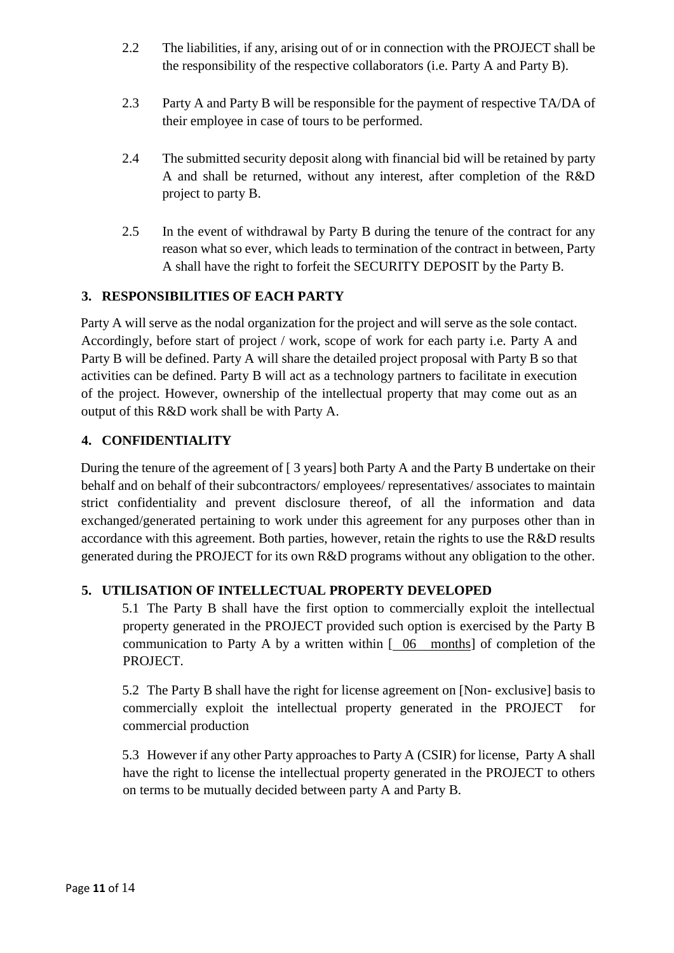- 2.2 The liabilities, if any, arising out of or in connection with the PROJECT shall be the responsibility of the respective collaborators (i.e. Party A and Party B).
- 2.3 Party A and Party B will be responsible for the payment of respective TA/DA of their employee in case of tours to be performed.
- 2.4 The submitted security deposit along with financial bid will be retained by party A and shall be returned, without any interest, after completion of the R&D project to party B.
- 2.5 In the event of withdrawal by Party B during the tenure of the contract for any reason what so ever, which leads to termination of the contract in between, Party A shall have the right to forfeit the SECURITY DEPOSIT by the Party B.

# **3. RESPONSIBILITIES OF EACH PARTY**

Party A will serve as the nodal organization for the project and will serve as the sole contact. Accordingly, before start of project / work, scope of work for each party i.e. Party A and Party B will be defined. Party A will share the detailed project proposal with Party B so that activities can be defined. Party B will act as a technology partners to facilitate in execution of the project. However, ownership of the intellectual property that may come out as an output of this R&D work shall be with Party A.

# **4. CONFIDENTIALITY**

During the tenure of the agreement of [ 3 years] both Party A and the Party B undertake on their behalf and on behalf of their subcontractors/ employees/ representatives/ associates to maintain strict confidentiality and prevent disclosure thereof, of all the information and data exchanged/generated pertaining to work under this agreement for any purposes other than in accordance with this agreement. Both parties, however, retain the rights to use the R&D results generated during the PROJECT for its own R&D programs without any obligation to the other.

# **5. UTILISATION OF INTELLECTUAL PROPERTY DEVELOPED**

5.1 The Party B shall have the first option to commercially exploit the intellectual property generated in the PROJECT provided such option is exercised by the Party B communication to Party A by a written within [ 06 months] of completion of the PROJECT.

5.2 The Party B shall have the right for license agreement on [Non- exclusive] basis to commercially exploit the intellectual property generated in the PROJECT for commercial production

5.3 However if any other Party approaches to Party A (CSIR) for license, Party A shall have the right to license the intellectual property generated in the PROJECT to others on terms to be mutually decided between party A and Party B.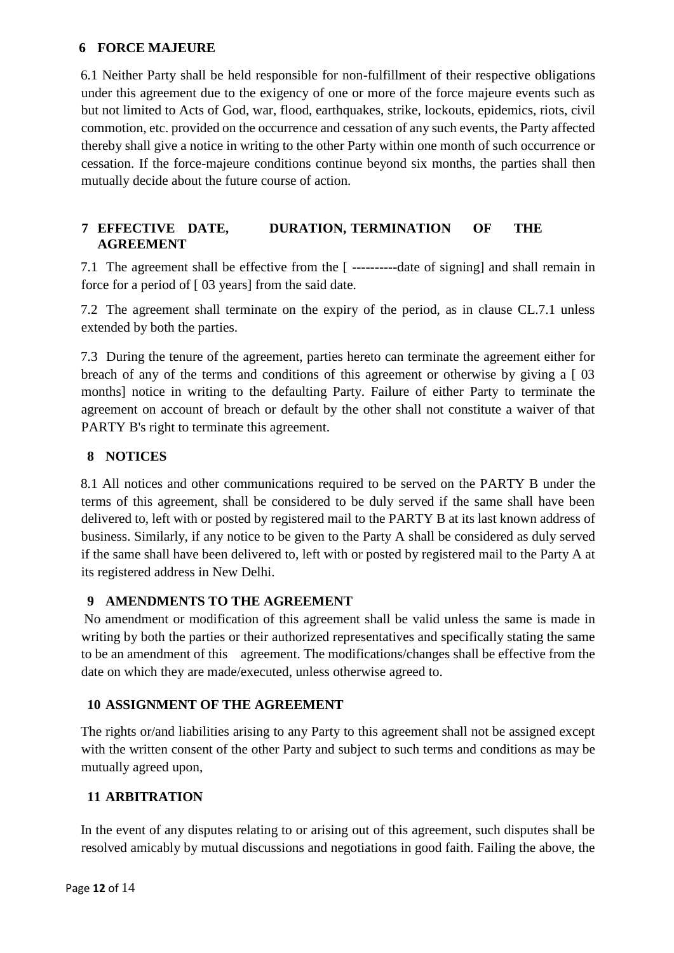#### **6 FORCE MAJEURE**

6.1 Neither Party shall be held responsible for non-fulfillment of their respective obligations under this agreement due to the exigency of one or more of the force majeure events such as but not limited to Acts of God, war, flood, earthquakes, strike, lockouts, epidemics, riots, civil commotion, etc. provided on the occurrence and cessation of any such events, the Party affected thereby shall give a notice in writing to the other Party within one month of such occurrence or cessation. If the force-majeure conditions continue beyond six months, the parties shall then mutually decide about the future course of action.

# **7 EFFECTIVE DATE, DURATION, TERMINATION OF THE AGREEMENT**

7.1 The agreement shall be effective from the [ ----------date of signing] and shall remain in force for a period of [ 03 years] from the said date.

7.2 The agreement shall terminate on the expiry of the period, as in clause CL.7.1 unless extended by both the parties.

7.3 During the tenure of the agreement, parties hereto can terminate the agreement either for breach of any of the terms and conditions of this agreement or otherwise by giving a [ 03 months] notice in writing to the defaulting Party. Failure of either Party to terminate the agreement on account of breach or default by the other shall not constitute a waiver of that PARTY B's right to terminate this agreement.

# **8 NOTICES**

8.1 All notices and other communications required to be served on the PARTY B under the terms of this agreement, shall be considered to be duly served if the same shall have been delivered to, left with or posted by registered mail to the PARTY B at its last known address of business. Similarly, if any notice to be given to the Party A shall be considered as duly served if the same shall have been delivered to, left with or posted by registered mail to the Party A at its registered address in New Delhi.

# **9 AMENDMENTS TO THE AGREEMENT**

No amendment or modification of this agreement shall be valid unless the same is made in writing by both the parties or their authorized representatives and specifically stating the same to be an amendment of this agreement. The modifications/changes shall be effective from the date on which they are made/executed, unless otherwise agreed to.

# **10 ASSIGNMENT OF THE AGREEMENT**

The rights or/and liabilities arising to any Party to this agreement shall not be assigned except with the written consent of the other Party and subject to such terms and conditions as may be mutually agreed upon,

# **11 ARBITRATION**

In the event of any disputes relating to or arising out of this agreement, such disputes shall be resolved amicably by mutual discussions and negotiations in good faith. Failing the above, the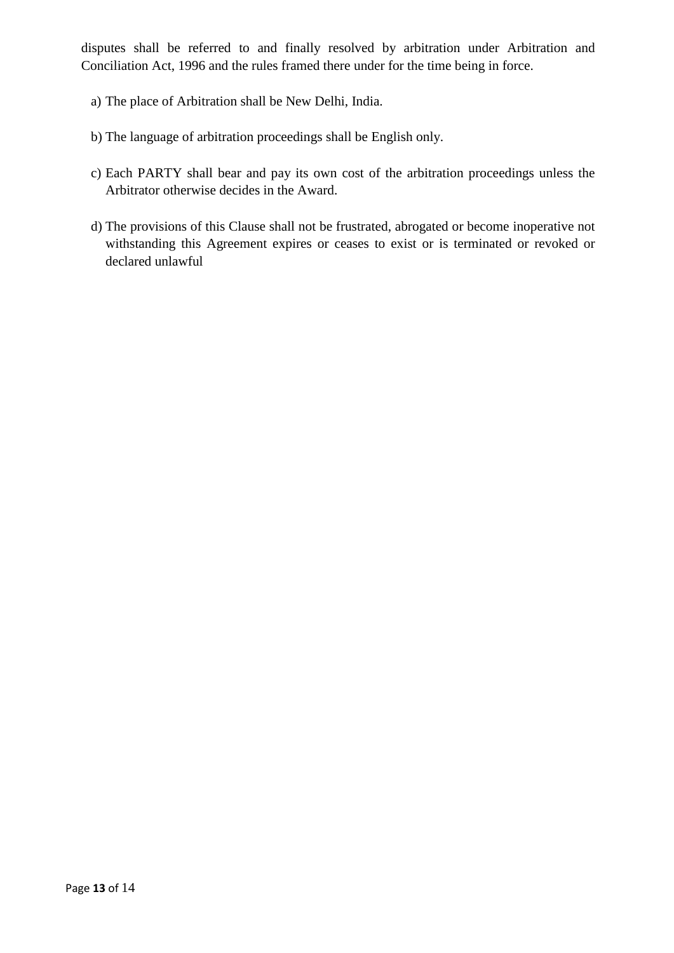disputes shall be referred to and finally resolved by arbitration under Arbitration and Conciliation Act, 1996 and the rules framed there under for the time being in force.

- a) The place of Arbitration shall be New Delhi, India.
- b) The language of arbitration proceedings shall be English only.
- c) Each PARTY shall bear and pay its own cost of the arbitration proceedings unless the Arbitrator otherwise decides in the Award.
- d) The provisions of this Clause shall not be frustrated, abrogated or become inoperative not withstanding this Agreement expires or ceases to exist or is terminated or revoked or declared unlawful